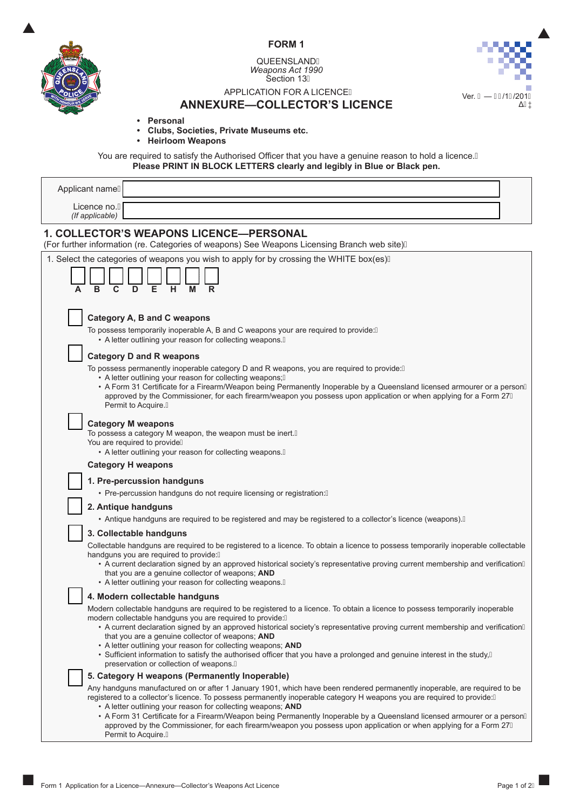



QUEENSLANDÁ *Weapons Act 1990* Section 13



# application for a licence

# **Annexure—Collector's Licence**

- **• Personal**
- **• Clubs, Societies, Private Museums etc.**
- **• Heirloom Weapons**

You are required to satisfy the Authorised Officer that you have a genuine reason to hold a licence. A **Please PRINT IN BLOCK LETTERS clearly and legibly in Blue or Black pen.**

| Applicant nameA                                                                                                                                                                                                                                                                                                                                                                                                                                                                                                                                                                                                            |
|----------------------------------------------------------------------------------------------------------------------------------------------------------------------------------------------------------------------------------------------------------------------------------------------------------------------------------------------------------------------------------------------------------------------------------------------------------------------------------------------------------------------------------------------------------------------------------------------------------------------------|
| Licence no.A<br>(If applicable)                                                                                                                                                                                                                                                                                                                                                                                                                                                                                                                                                                                            |
| <b>1. COLLECTOR'S WEAPONS LICENCE-PERSONAL</b><br>(For further information (re. Categories of weapons) See Weapons Licensing Branch web site) A                                                                                                                                                                                                                                                                                                                                                                                                                                                                            |
| 1. Select the categories of weapons you wish to apply for by crossing the WHITE box(es)A                                                                                                                                                                                                                                                                                                                                                                                                                                                                                                                                   |
| Category A, B and C weapons<br>To possess temporarily inoperable A, B and C weapons your are required to provide: A<br>• A letter outlining your reason for collecting weapons. A                                                                                                                                                                                                                                                                                                                                                                                                                                          |
| <b>Category D and R weapons</b><br>To possess permanently inoperable category D and R weapons, you are required to provide: A<br>• A letter outlining your reason for collecting weapons; A<br>• A Form 31 Certificate for a Firearm/Weapon being Permanently Inoperable by a Queensland licensed armourer or a personÁ<br>approved by the Commissioner, for each firearm/weapon you possess upon application or when applying for a Form 27A<br>Permit to Acquire.A                                                                                                                                                       |
| <b>Category M weapons</b><br>To possess a category M weapon, the weapon must be inert.A<br>You are required to provideA<br>• A letter outlining your reason for collecting weapons. A                                                                                                                                                                                                                                                                                                                                                                                                                                      |
| <b>Category H weapons</b>                                                                                                                                                                                                                                                                                                                                                                                                                                                                                                                                                                                                  |
| 1. Pre-percussion handguns<br>• Pre-percussion handguns do not require licensing or registration:A                                                                                                                                                                                                                                                                                                                                                                                                                                                                                                                         |
| 2. Antique handguns                                                                                                                                                                                                                                                                                                                                                                                                                                                                                                                                                                                                        |
| • Antique handguns are required to be registered and may be registered to a collector's licence (weapons). A                                                                                                                                                                                                                                                                                                                                                                                                                                                                                                               |
| 3. Collectable handguns                                                                                                                                                                                                                                                                                                                                                                                                                                                                                                                                                                                                    |
| Collectable handguns are required to be registered to a licence. To obtain a licence to possess temporarily inoperable collectable<br>handguns you are required to provide: A                                                                                                                                                                                                                                                                                                                                                                                                                                              |
| • A current declaration signed by an approved historical society's representative proving current membership and verificationÁ<br>that you are a genuine collector of weapons; AND<br>• A letter outlining your reason for collecting weapons. A                                                                                                                                                                                                                                                                                                                                                                           |
| 4. Modern collectable handguns                                                                                                                                                                                                                                                                                                                                                                                                                                                                                                                                                                                             |
| Modern collectable handguns are required to be registered to a licence. To obtain a licence to possess temporarily inoperable<br>modern collectable handguns you are required to provide: Á<br>• A current declaration signed by an approved historical society's representative proving current membership and verificationA<br>that you are a genuine collector of weapons; AND<br>• A letter outlining your reason for collecting weapons; AND<br>• Sufficient information to satisfy the authorised officer that you have a prolonged and genuine interest in the study, A<br>preservation or collection of weapons. A |
| 5. Category H weapons (Permanently Inoperable)                                                                                                                                                                                                                                                                                                                                                                                                                                                                                                                                                                             |
| Any handguns manufactured on or after 1 January 1901, which have been rendered permanently inoperable, are required to be<br>registered to a collector's licence. To possess permanently inoperable category H weapons you are required to provide: A<br>• A letter outlining your reason for collecting weapons; AND<br>• A Form 31 Certificate for a Firearm/Weapon being Permanently Inoperable by a Queensland licensed armourer or a personA<br>approved by the Commissioner, for each firearm/weapon you possess upon application or when applying for a Form 27A<br>Permit to Acquire.A                             |